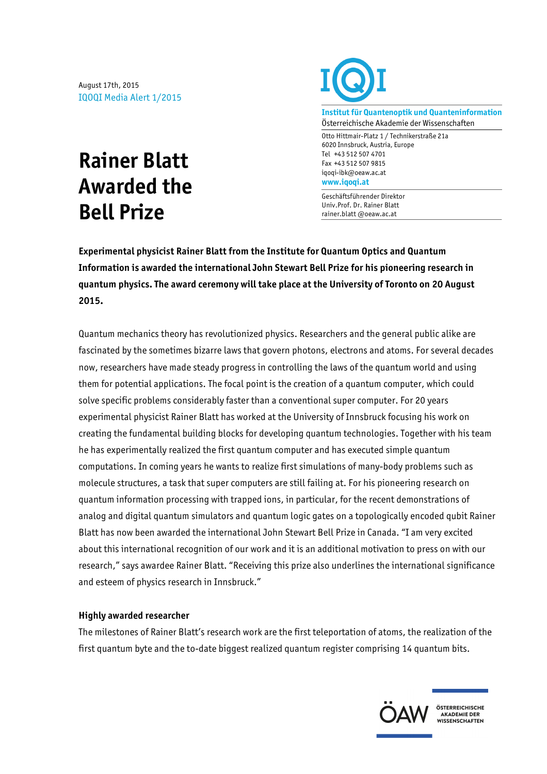August 17th, 2015 IQOQI Media Alert 1/2015

## **Rainer Blatt Awarded the Bell Prize**



**Institut für Quantenoptik und Quanteninformation** Österreichische Akademie der Wissenschaften

Otto Hittmair-Platz 1 / Technikerstraße 21a 6020 Innsbruck, Austria, Europe Tel +43 512 507 4701 Fax +43 512 507 9815 iqoqi-ibk@oeaw.ac.at **www.iqoqi.at**

Geschäftsführender Direktor Univ.Prof. Dr. Rainer Blatt rainer.blatt @oeaw.ac.at

**Experimental physicist Rainer Blatt from the Institute for Quantum Optics and Quantum Information is awarded the international John Stewart Bell Prize for his pioneering research in quantum physics. The award ceremony will take place at the University of Toronto on 20 August 2015.**

Quantum mechanics theory has revolutionized physics. Researchers and the general public alike are fascinated by the sometimes bizarre laws that govern photons, electrons and atoms. For several decades now, researchers have made steady progress in controlling the laws of the quantum world and using them for potential applications. The focal point is the creation of a quantum computer, which could solve specific problems considerably faster than a conventional super computer. For 20 years experimental physicist Rainer Blatt has worked at the University of Innsbruck focusing his work on creating the fundamental building blocks for developing quantum technologies. Together with his team he has experimentally realized the first quantum computer and has executed simple quantum computations. In coming years he wants to realize first simulations of many-body problems such as molecule structures, a task that super computers are still failing at. For his pioneering research on quantum information processing with trapped ions, in particular, for the recent demonstrations of analog and digital quantum simulators and quantum logic gates on a topologically encoded qubit Rainer Blatt has now been awarded the international John Stewart Bell Prize in Canada. "I am very excited about this international recognition of our work and it is an additional motivation to press on with our research," says awardee Rainer Blatt. "Receiving this prize also underlines the international significance and esteem of physics research in Innsbruck."

## **Highly awarded researcher**

The milestones of Rainer Blatt's research work are the first teleportation of atoms, the realization of the first quantum byte and the to-date biggest realized quantum register comprising 14 quantum bits.



ÖSTERREICHISCHE AKADEMIE DER **ANADEMIE DEN<br>WISSENSCHAFTEN**